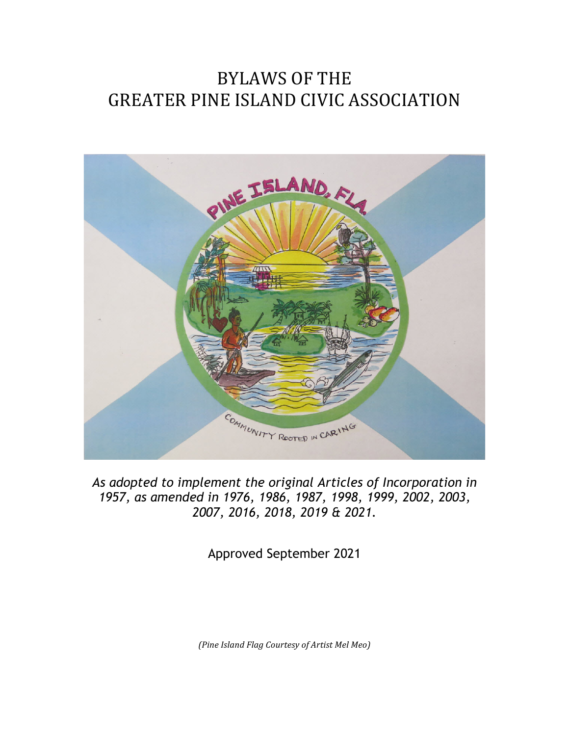# BYLAWS OF THE **GREATER PINE ISLAND CIVIC ASSOCIATION**



*As adopted to implement the original Articles of Incorporation in 1957, as amended in 1976, 1986, 1987, 1998, 1999, 2002, 2003, 2007, 2016, 2018, 2019 & 2021.*

Approved September 2021

*(Pine Island Flag Courtesy of Artist Mel Meo)*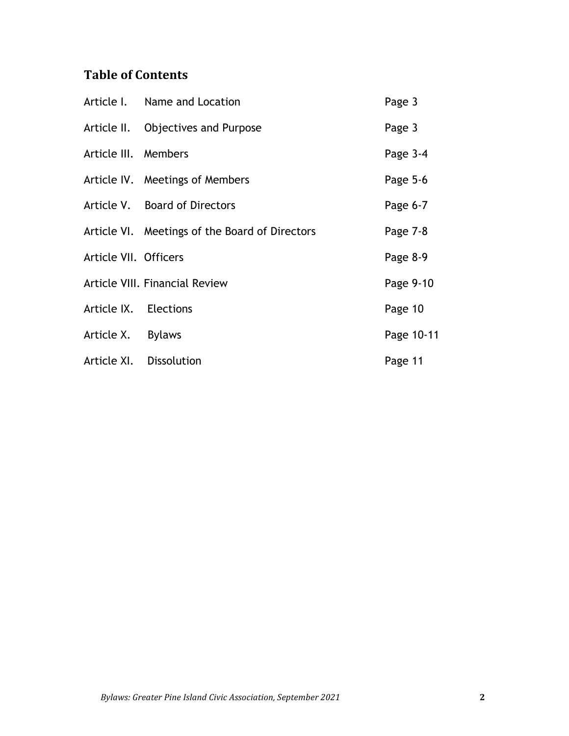## **Table of Contents**

|                       | Article I. Name and Location                   | Page 3     |
|-----------------------|------------------------------------------------|------------|
|                       | Article II. Objectives and Purpose             | Page 3     |
| Article III. Members  |                                                | Page 3-4   |
|                       | Article IV. Meetings of Members                | Page 5-6   |
|                       | Article V. Board of Directors                  | Page 6-7   |
|                       | Article VI. Meetings of the Board of Directors | Page 7-8   |
| Article VII. Officers |                                                | Page 8-9   |
|                       | <b>Article VIII. Financial Review</b>          | Page 9-10  |
| Article IX. Elections |                                                | Page 10    |
| Article X. Bylaws     |                                                | Page 10-11 |
|                       | Article XI. Dissolution                        | Page 11    |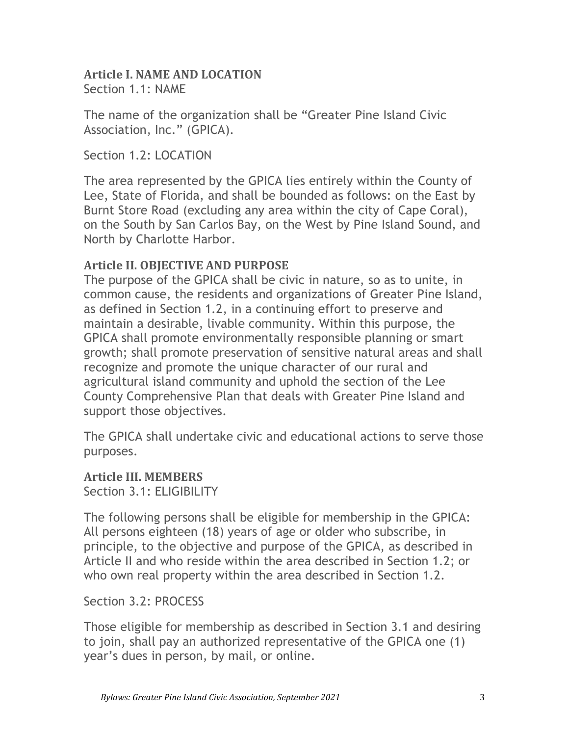#### **Article I. NAME AND LOCATION** Section 1.1: NAME

The name of the organization shall be "Greater Pine Island Civic Association, Inc." (GPICA).

Section 1.2: LOCATION

The area represented by the GPICA lies entirely within the County of Lee, State of Florida, and shall be bounded as follows: on the East by Burnt Store Road (excluding any area within the city of Cape Coral), on the South by San Carlos Bay, on the West by Pine Island Sound, and North by Charlotte Harbor.

#### **Article II. OBJECTIVE AND PURPOSE**

The purpose of the GPICA shall be civic in nature, so as to unite, in common cause, the residents and organizations of Greater Pine Island, as defined in Section 1.2, in a continuing effort to preserve and maintain a desirable, livable community. Within this purpose, the GPICA shall promote environmentally responsible planning or smart growth; shall promote preservation of sensitive natural areas and shall recognize and promote the unique character of our rural and agricultural island community and uphold the section of the Lee County Comprehensive Plan that deals with Greater Pine Island and support those objectives.

The GPICA shall undertake civic and educational actions to serve those purposes.

**Article III. MEMBERS**

Section 3.1: ELIGIBILITY

The following persons shall be eligible for membership in the GPICA: All persons eighteen (18) years of age or older who subscribe, in principle, to the objective and purpose of the GPICA, as described in Article II and who reside within the area described in Section 1.2; or who own real property within the area described in Section 1.2.

Section 3.2: PROCESS

Those eligible for membership as described in Section 3.1 and desiring to join, shall pay an authorized representative of the GPICA one (1) year's dues in person, by mail, or online.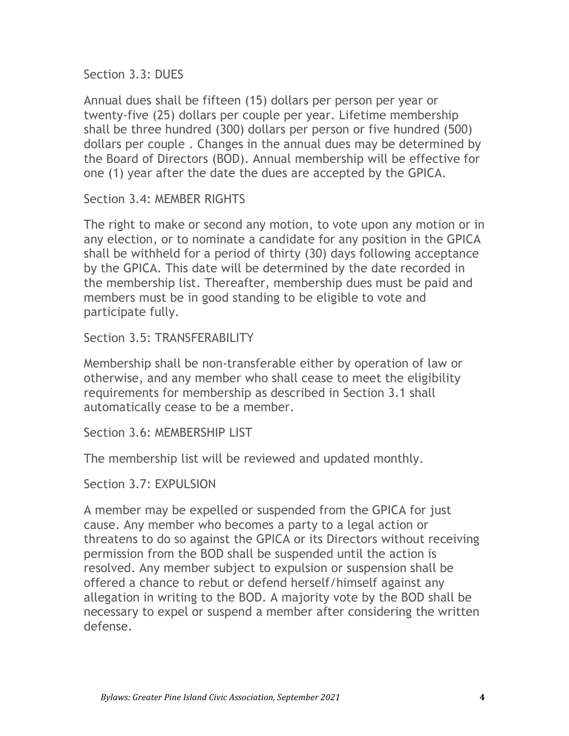Section 3.3: DUES

Annual dues shall be fifteen (15) dollars per person per year or twenty-five (25) dollars per couple per year. Lifetime membership shall be three hundred (300) dollars per person or five hundred (500) dollars per couple . Changes in the annual dues may be determined by the Board of Directors (BOD). Annual membership will be effective for one (1) year after the date the dues are accepted by the GPICA.

Section 3.4: MEMBER RIGHTS

The right to make or second any motion, to vote upon any motion or in any election, or to nominate a candidate for any position in the GPICA shall be withheld for a period of thirty (30) days following acceptance by the GPICA. This date will be determined by the date recorded in the membership list. Thereafter, membership dues must be paid and members must be in good standing to be eligible to vote and participate fully.

Section 3.5: TRANSFERABILITY

Membership shall be non-transferable either by operation of law or otherwise, and any member who shall cease to meet the eligibility requirements for membership as described in Section 3.1 shall automatically cease to be a member.

Section 3.6: MEMBERSHIP LIST

The membership list will be reviewed and updated monthly.

Section 3.7: EXPULSION

A member may be expelled or suspended from the GPICA for just cause. Any member who becomes a party to a legal action or threatens to do so against the GPICA or its Directors without receiving permission from the BOD shall be suspended until the action is resolved. Any member subject to expulsion or suspension shall be offered a chance to rebut or defend herself/himself against any allegation in writing to the BOD. A majority vote by the BOD shall be necessary to expel or suspend a member after considering the written defense.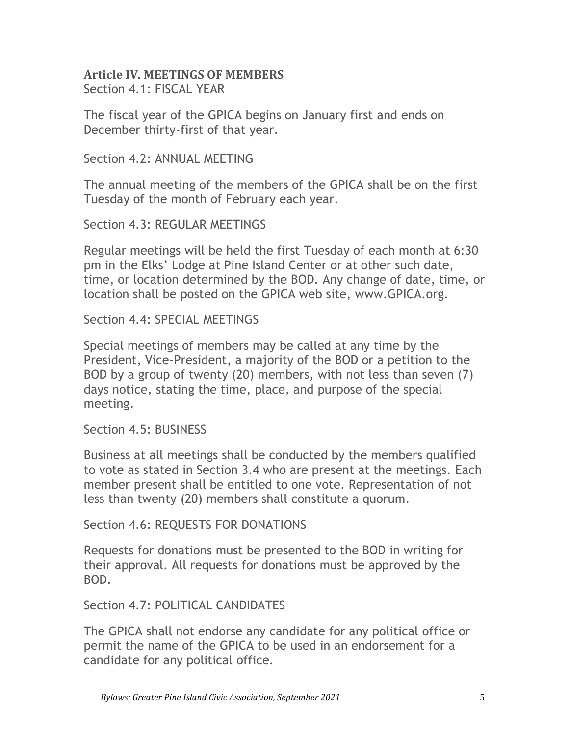#### **Article IV. MEETINGS OF MEMBERS** Section 4.1: FISCAL YEAR

The fiscal year of the GPICA begins on January first and ends on December thirty-first of that year.

Section 4.2: ANNUAL MEETING

The annual meeting of the members of the GPICA shall be on the first Tuesday of the month of February each year.

Section 4.3: REGULAR MEETINGS

Regular meetings will be held the first Tuesday of each month at 6:30 pm in the Elks' Lodge at Pine Island Center or at other such date, time, or location determined by the BOD. Any change of date, time, or location shall be posted on the GPICA web site, www.GPICA.org.

Section 4.4: SPECIAL MEETINGS

Special meetings of members may be called at any time by the President, Vice-President, a majority of the BOD or a petition to the BOD by a group of twenty (20) members, with not less than seven (7) days notice, stating the time, place, and purpose of the special meeting.

Section 4.5: BUSINESS

Business at all meetings shall be conducted by the members qualified to vote as stated in Section 3.4 who are present at the meetings. Each member present shall be entitled to one vote. Representation of not less than twenty (20) members shall constitute a quorum.

Section 4.6: REQUESTS FOR DONATIONS

Requests for donations must be presented to the BOD in writing for their approval. All requests for donations must be approved by the BOD.

Section 4.7: POLITICAL CANDIDATES

The GPICA shall not endorse any candidate for any political office or permit the name of the GPICA to be used in an endorsement for a candidate for any political office.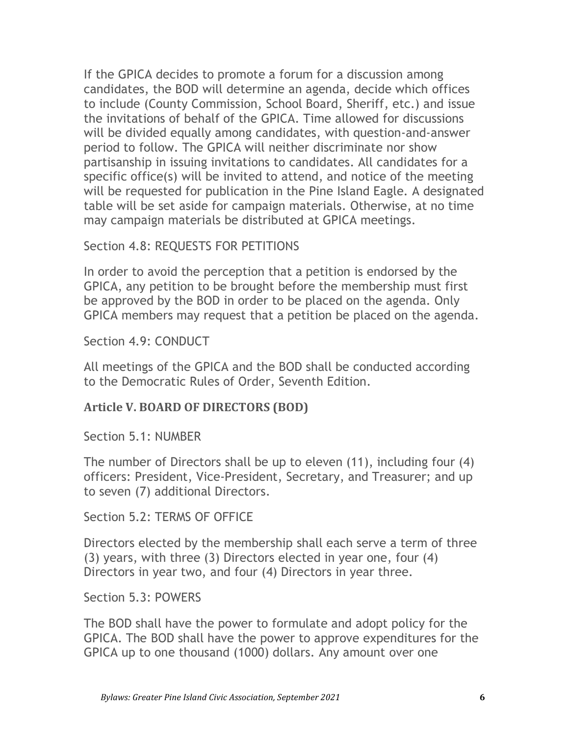If the GPICA decides to promote a forum for a discussion among candidates, the BOD will determine an agenda, decide which offices to include (County Commission, School Board, Sheriff, etc.) and issue the invitations of behalf of the GPICA. Time allowed for discussions will be divided equally among candidates, with question-and-answer period to follow. The GPICA will neither discriminate nor show partisanship in issuing invitations to candidates. All candidates for a specific office(s) will be invited to attend, and notice of the meeting will be requested for publication in the Pine Island Eagle. A designated table will be set aside for campaign materials. Otherwise, at no time may campaign materials be distributed at GPICA meetings.

Section 4.8: REQUESTS FOR PETITIONS

In order to avoid the perception that a petition is endorsed by the GPICA, any petition to be brought before the membership must first be approved by the BOD in order to be placed on the agenda. Only GPICA members may request that a petition be placed on the agenda.

Section 4.9: CONDUCT

All meetings of the GPICA and the BOD shall be conducted according to the Democratic Rules of Order, Seventh Edition.

### **Article V. BOARD OF DIRECTORS (BOD)**

Section 5.1: NUMBER

The number of Directors shall be up to eleven (11), including four (4) officers: President, Vice-President, Secretary, and Treasurer; and up to seven (7) additional Directors.

Section 5.2: TERMS OF OFFICE

Directors elected by the membership shall each serve a term of three (3) years, with three (3) Directors elected in year one, four (4) Directors in year two, and four (4) Directors in year three.

Section 5.3: POWERS

The BOD shall have the power to formulate and adopt policy for the GPICA. The BOD shall have the power to approve expenditures for the GPICA up to one thousand (1000) dollars. Any amount over one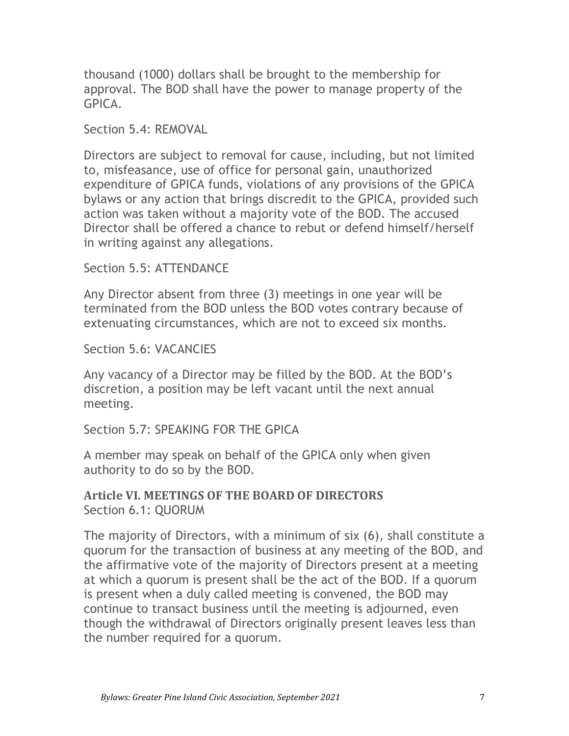thousand (1000) dollars shall be brought to the membership for approval. The BOD shall have the power to manage property of the GPICA.

Section 5.4: REMOVAL

Directors are subject to removal for cause, including, but not limited to, misfeasance, use of office for personal gain, unauthorized expenditure of GPICA funds, violations of any provisions of the GPICA bylaws or any action that brings discredit to the GPICA, provided such action was taken without a majority vote of the BOD. The accused Director shall be offered a chance to rebut or defend himself/herself in writing against any allegations.

Section 5.5: ATTENDANCE

Any Director absent from three (3) meetings in one year will be terminated from the BOD unless the BOD votes contrary because of extenuating circumstances, which are not to exceed six months.

Section 5.6: VACANCIES

Any vacancy of a Director may be filled by the BOD. At the BOD's discretion, a position may be left vacant until the next annual meeting.

Section 5.7: SPEAKING FOR THE GPICA

A member may speak on behalf of the GPICA only when given authority to do so by the BOD.

#### **Article VI. MEETINGS OF THE BOARD OF DIRECTORS** Section 6.1: QUORUM

The majority of Directors, with a minimum of six (6), shall constitute a quorum for the transaction of business at any meeting of the BOD, and the affirmative vote of the majority of Directors present at a meeting at which a quorum is present shall be the act of the BOD. If a quorum is present when a duly called meeting is convened, the BOD may continue to transact business until the meeting is adjourned, even though the withdrawal of Directors originally present leaves less than the number required for a quorum.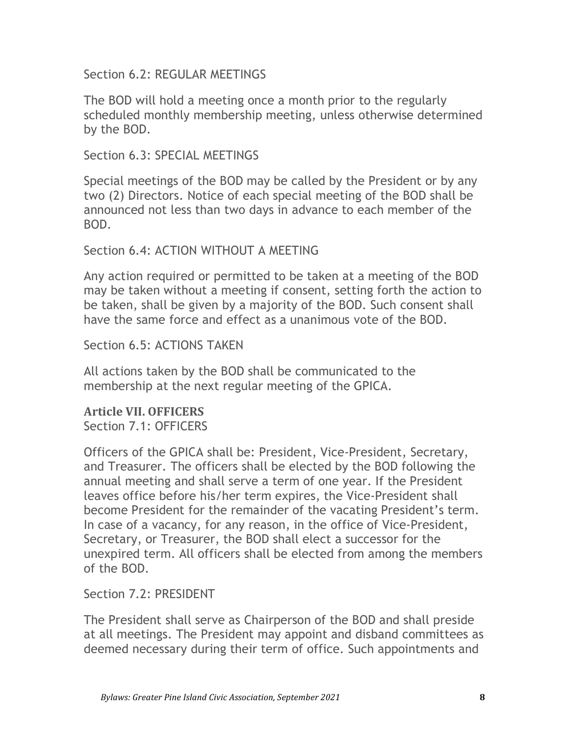Section 6.2: REGULAR MEETINGS

The BOD will hold a meeting once a month prior to the regularly scheduled monthly membership meeting, unless otherwise determined by the BOD.

Section 6.3: SPECIAL MEETINGS

Special meetings of the BOD may be called by the President or by any two (2) Directors. Notice of each special meeting of the BOD shall be announced not less than two days in advance to each member of the BOD.

Section 6.4: ACTION WITHOUT A MEETING

Any action required or permitted to be taken at a meeting of the BOD may be taken without a meeting if consent, setting forth the action to be taken, shall be given by a majority of the BOD. Such consent shall have the same force and effect as a unanimous vote of the BOD.

Section 6.5: ACTIONS TAKEN

All actions taken by the BOD shall be communicated to the membership at the next regular meeting of the GPICA.

**Article VII. OFFICERS** Section 7.1: OFFICERS

Officers of the GPICA shall be: President, Vice-President, Secretary, and Treasurer. The officers shall be elected by the BOD following the annual meeting and shall serve a term of one year. If the President leaves office before his/her term expires, the Vice-President shall become President for the remainder of the vacating President's term. In case of a vacancy, for any reason, in the office of Vice-President, Secretary, or Treasurer, the BOD shall elect a successor for the unexpired term. All officers shall be elected from among the members of the BOD.

Section 7.2: PRESIDENT

The President shall serve as Chairperson of the BOD and shall preside at all meetings. The President may appoint and disband committees as deemed necessary during their term of office. Such appointments and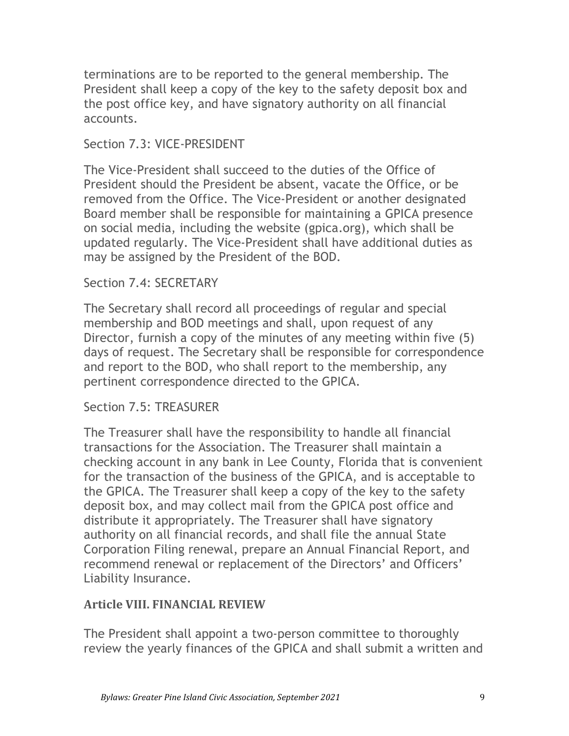terminations are to be reported to the general membership. The President shall keep a copy of the key to the safety deposit box and the post office key, and have signatory authority on all financial accounts.

#### Section 7.3: VICE-PRESIDENT

The Vice-President shall succeed to the duties of the Office of President should the President be absent, vacate the Office, or be removed from the Office. The Vice-President or another designated Board member shall be responsible for maintaining a GPICA presence on social media, including the website (gpica.org), which shall be updated regularly. The Vice-President shall have additional duties as may be assigned by the President of the BOD.

#### Section 7.4: SECRETARY

The Secretary shall record all proceedings of regular and special membership and BOD meetings and shall, upon request of any Director, furnish a copy of the minutes of any meeting within five (5) days of request. The Secretary shall be responsible for correspondence and report to the BOD, who shall report to the membership, any pertinent correspondence directed to the GPICA.

#### Section 7.5: TREASURER

The Treasurer shall have the responsibility to handle all financial transactions for the Association. The Treasurer shall maintain a checking account in any bank in Lee County, Florida that is convenient for the transaction of the business of the GPICA, and is acceptable to the GPICA. The Treasurer shall keep a copy of the key to the safety deposit box, and may collect mail from the GPICA post office and distribute it appropriately. The Treasurer shall have signatory authority on all financial records, and shall file the annual State Corporation Filing renewal, prepare an Annual Financial Report, and recommend renewal or replacement of the Directors' and Officers' Liability Insurance.

#### **Article VIII. FINANCIAL REVIEW**

The President shall appoint a two-person committee to thoroughly review the yearly finances of the GPICA and shall submit a written and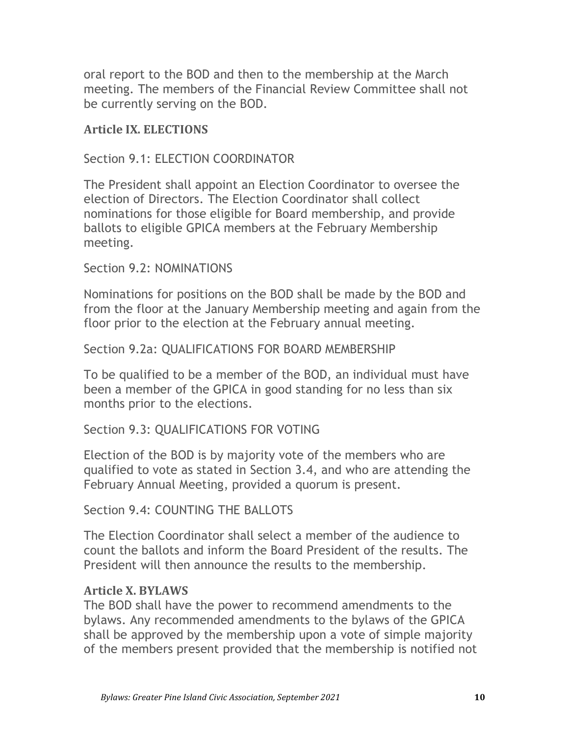oral report to the BOD and then to the membership at the March meeting. The members of the Financial Review Committee shall not be currently serving on the BOD.

#### **Article IX. ELECTIONS**

#### Section 9.1: ELECTION COORDINATOR

The President shall appoint an Election Coordinator to oversee the election of Directors. The Election Coordinator shall collect nominations for those eligible for Board membership, and provide ballots to eligible GPICA members at the February Membership meeting.

Section 9.2: NOMINATIONS

Nominations for positions on the BOD shall be made by the BOD and from the floor at the January Membership meeting and again from the floor prior to the election at the February annual meeting.

#### Section 9.2a: QUALIFICATIONS FOR BOARD MEMBERSHIP

To be qualified to be a member of the BOD, an individual must have been a member of the GPICA in good standing for no less than six months prior to the elections.

#### Section 9.3: QUALIFICATIONS FOR VOTING

Election of the BOD is by majority vote of the members who are qualified to vote as stated in Section 3.4, and who are attending the February Annual Meeting, provided a quorum is present.

Section 9.4: COUNTING THE BALLOTS

The Election Coordinator shall select a member of the audience to count the ballots and inform the Board President of the results. The President will then announce the results to the membership.

#### **Article X. BYLAWS**

The BOD shall have the power to recommend amendments to the bylaws. Any recommended amendments to the bylaws of the GPICA shall be approved by the membership upon a vote of simple majority of the members present provided that the membership is notified not